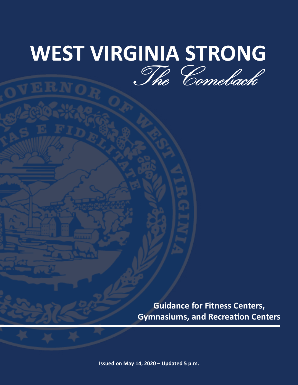# **WEST VIRGINIA STRONG** The Comeback

**Guidance for Fitness Centers, Gymnasiums, and Recreation Centers**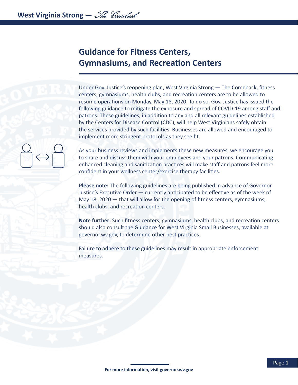# **Guidance for Fitness Centers, Gymnasiums, and Recreation Centers**

Under Gov. Justice's reopening plan, West Virginia Strong — The Comeback, fitness centers, gymnasiums, health clubs, and recreation centers are to be allowed to resume operations on Monday, May 18, 2020. To do so, Gov. Justice has issued the following guidance to mitigate the exposure and spread of COVID-19 among staff and patrons. These guidelines, in addition to any and all relevant guidelines established by the Centers for Disease Control (CDC), will help West Virginians safely obtain the services provided by such facilities. Businesses are allowed and encouraged to implement more stringent protocols as they see fit.

As your business reviews and implements these new measures, we encourage you to share and discuss them with your employees and your patrons. Communicating enhanced cleaning and sanitization practices will make staff and patrons feel more confident in your wellness center/exercise therapy facilities.

**Please note:** The following guidelines are being published in advance of Governor Justice's Executive Order — currently anticipated to be effective as of the week of May 18, 2020 — that will allow for the opening of fitness centers, gymnasiums, health clubs, and recreation centers.

**Note further:** Such fitness centers, gymnasiums, health clubs, and recreation centers should also consult the Guidance for West Virginia Small Businesses, available at governor.wv.gov, to determine other best practices.

Failure to adhere to these guidelines may result in appropriate enforcement measures.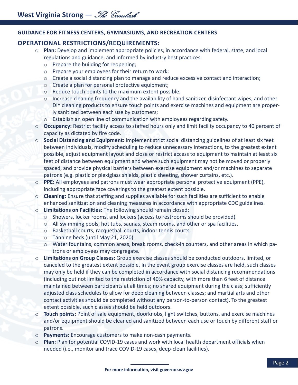# **GUIDANCE FOR FITNESS CENTERS, GYMNASIUMS, AND RECREATION CENTERS**

# **OPERATIONAL RESTRICTIONS/REQUIREMENTS:**

- o **Plan:** Develop and implement appropriate policies, in accordance with federal, state, and local regulations and guidance, and informed by industry best practices:
	- o Prepare the building for reopening;
	- o Prepare your employees for their return to work;
	- $\circ$  Create a social distancing plan to manage and reduce excessive contact and interaction;
	- o Create a plan for personal protective equipment;
	- o Reduce touch points to the maximum extent possible;
	- $\circ$  Increase cleaning frequency and the availability of hand sanitizer, disinfectant wipes, and other DIY cleaning products to ensure touch points and exercise machines and equipment are properly sanitized between each use by customers;
	- o Establish an open line of communication with employees regarding safety.
- o **Occupancy:** Restrict facility access to staffed hours only and limit facility occupancy to 40 percent of capacity as dictated by fire code.
- o **Social Distancing and Equipment:** Implement strict social distancing guidelines of at least six feet between individuals, modify scheduling to reduce unnecessary interactions, to the greatest extent possible, adjust equipment layout and close or restrict access to equipment to maintain at least six feet of distance between equipment and where such equipment may not be moved or properly spaced, and provide physical barriers between exercise equipment and/or machines to separate patrons (e.g. plastic or plexiglass shields, plastic sheeting, shower curtains, etc.).
- o **PPE:** All employees and patrons must wear appropriate personal protective equipment (PPE), including appropriate face coverings to the greatest extent possible.
- o **Cleaning:** Ensure that staffing and supplies available for such facilities are sufficient to enable enhanced sanitization and cleaning measures in accordance with appropriate CDC guidelines.
- o **Limitations on Facilities:** The following should remain closed:
	- o Showers, locker rooms, and lockers (access to restrooms should be provided).
	- o All swimming pools, hot tubs, saunas, steam rooms, and other or spa facilities.
	- o Basketball courts, racquetball courts, indoor tennis courts.
	- o Tanning beds (until May 21, 2020).
	- o Water fountains, common areas, break rooms, check-in counters, and other areas in which patrons or employees may congregate.
- o **Limitations on Group Classes:** Group exercise classes should be conducted outdoors, limited, or canceled to the greatest extent possible. In the event group exercise classes are held, such classes may only be held if they can be completed in accordance with social distancing recommendations (including but not limited to the restriction of 40% capacity, with more than 6 feet of distance maintained between participants at all times; no shared equipment during the class; sufficiently adjusted class schedules to allow for deep cleaning between classes; and martial arts and other contact activities should be completed without any person-to-person contact). To the greatest extent possible, such classes should be held outdoors.
- **Touch points:** Point of sale equipment, doorknobs, light switches, buttons, and exercise machines and/or equipment should be cleaned and sanitized between each use or touch by different staff or patrons.
- o **Payments:** Encourage customers to make non-cash payments.
- Plan: Plan for potential COVID-19 cases and work with local health department officials when needed (i.e., monitor and trace COVID-19 cases, deep-clean facilities).